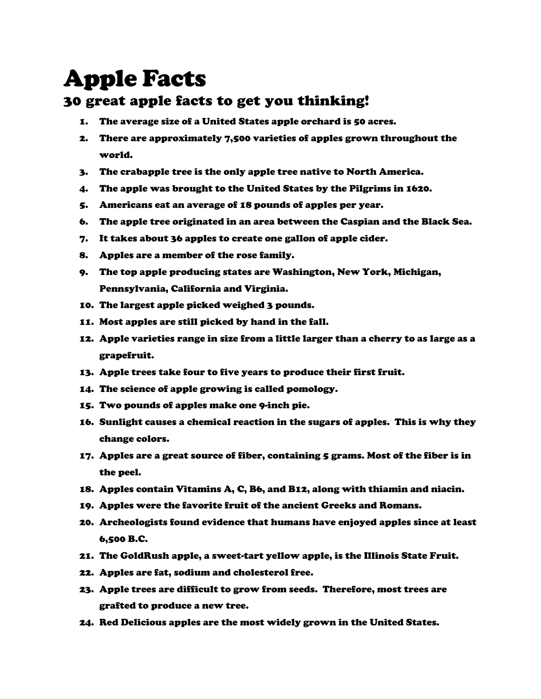## Apple Facts

## 30 great apple facts to get you thinking!

- 1. The average size of a United States apple orchard is 50 acres.
- 2. There are approximately 7,500 varieties of apples grown throughout the world.
- 3. The crabapple tree is the only apple tree native to North America.
- 4. The apple was brought to the United States by the Pilgrims in 1620.
- 5. Americans eat an average of 18 pounds of apples per year.
- 6. The apple tree originated in an area between the Caspian and the Black Sea.
- 7. It takes about 36 apples to create one gallon of apple cider.
- 8. Apples are a member of the rose family.
- 9. The top apple producing states are Washington, New York, Michigan, Pennsylvania, California and Virginia.
- 10. The largest apple picked weighed 3 pounds.
- 11. Most apples are still picked by hand in the fall.
- 12. Apple varieties range in size from a little larger than a cherry to as large as a grapefruit.
- 13. Apple trees take four to five years to produce their first fruit.
- 14. The science of apple growing is called pomology.
- 15. Two pounds of apples make one 9-inch pie.
- 16. Sunlight causes a chemical reaction in the sugars of apples. This is why they change colors.
- 17. Apples are a great source of fiber, containing 5 grams. Most of the fiber is in the peel.
- 18. Apples contain Vitamins A, C, B6, and B12, along with thiamin and niacin.
- 19. Apples were the favorite fruit of the ancient Greeks and Romans.
- 20. Archeologists found evidence that humans have enjoyed apples since at least 6,500 B.C.
- 21. The GoldRush apple, a sweet-tart yellow apple, is the Illinois State Fruit.
- 22. Apples are fat, sodium and cholesterol free.
- 23. Apple trees are difficult to grow from seeds. Therefore, most trees are grafted to produce a new tree.
- 24. Red Delicious apples are the most widely grown in the United States.